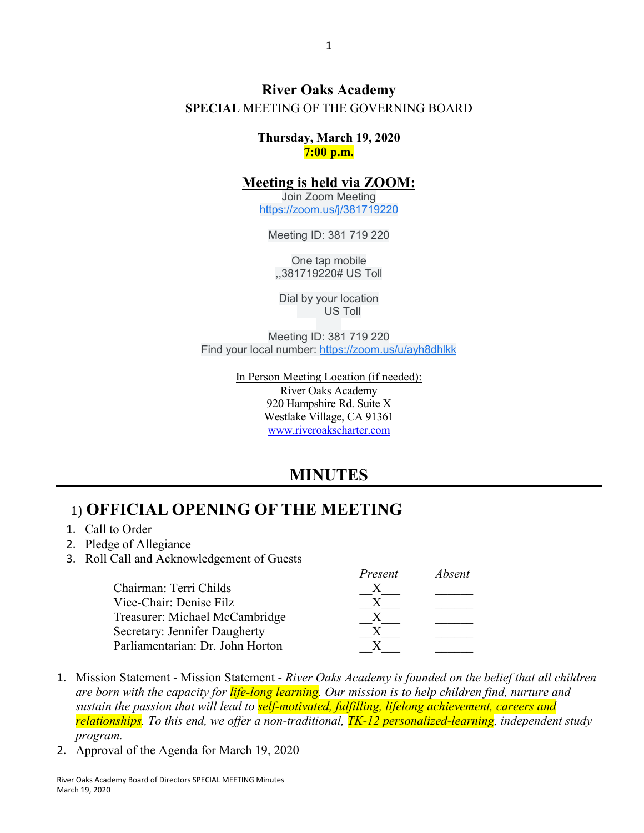#### **River Oaks Academy SPECIAL** MEETING OF THE GOVERNING BOARD

**Thursday, March 19, 2020 7:00 p.m.**

#### **Meeting is held via ZOOM:**

Join Zoom Meeting [https://zoom.us/j/381719220](https://www.google.com/url?q=https://zoom.us/j/381719220&sa=D&ust=1584983044035000&usg=AOvVaw0gB9sCnHhburNzskW8rqHB)

Meeting ID: 381 719 220

One tap mobile ,,381719220# US Toll

Dial by your location US Toll

Meeting ID: 381 719 220 Find your local number: [https://zoom.us/u/ayh8dhlkk](https://www.google.com/url?q=https://zoom.us/u/ayh8dhlkk&sa=D&ust=1584983044035000&usg=AOvVaw0rgvH_SNSEXqaoRm3ni1RR)

> In Person Meeting Location (if needed): River Oaks Academy 920 Hampshire Rd. Suite X Westlake Village, CA 91361 [www.riveroakscharter.com](http://www.riveroakscharter.com/)

## **MINUTES**

*Present Absent*

#### 1) **OFFICIAL OPENING OF THE MEETING**

- 1. Call to Order
- 2. Pledge of Allegiance
- 3. Roll Call and Acknowledgement of Guests

| Avseni          |
|-----------------|
|                 |
|                 |
|                 |
|                 |
|                 |
| <i>r resent</i> |

- 1. Mission Statement Mission Statement *River Oaks Academy is founded on the belief that all children are born with the capacity for life-long learning. Our mission is to help children find, nurture and sustain the passion that will lead to self-motivated, fulfilling, lifelong achievement, careers and relationships. To this end, we offer a non-traditional, TK-12 personalized-learning, independent study program.*
- 2. Approval of the Agenda for March 19, 2020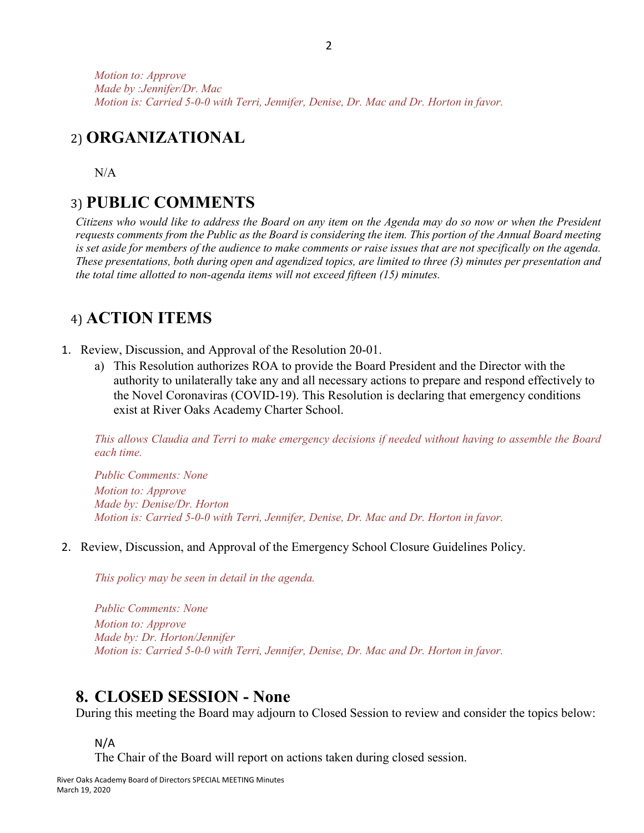*Motion to: Approve Made by :Jennifer/Dr. Mac Motion is: Carried 5-0-0 with Terri, Jennifer, Denise, Dr. Mac and Dr. Horton in favor.*

### 2) **ORGANIZATIONAL**

 $N/A$ 

#### 3) **PUBLIC COMMENTS**

*Citizens who would like to address the Board on any item on the Agenda may do so now or when the President requests comments from the Public as the Board is considering the item. This portion of the Annual Board meeting is set aside for members of the audience to make comments or raise issues that are not specifically on the agenda. These presentations, both during open and agendized topics, are limited to three (3) minutes per presentation and the total time allotted to non-agenda items will not exceed fifteen (15) minutes.*

### 4) **ACTION ITEMS**

- 1. Review, Discussion, and Approval of the Resolution 20-01.
	- a) This Resolution authorizes ROA to provide the Board President and the Director with the authority to unilaterally take any and all necessary actions to prepare and respond effectively to the Novel Coronaviras (COVID-19). This Resolution is declaring that emergency conditions exist at River Oaks Academy Charter School.

*This allows Claudia and Terri to make emergency decisions if needed without having to assemble the Board each time.* 

*Public Comments: None Motion to: Approve Made by: Denise/Dr. Horton Motion is: Carried 5-0-0 with Terri, Jennifer, Denise, Dr. Mac and Dr. Horton in favor.*

2. Review, Discussion, and Approval of the Emergency School Closure Guidelines Policy.

*This policy may be seen in detail in the agenda.*

*Public Comments: None Motion to: Approve Made by: Dr. Horton/Jennifer Motion is: Carried 5-0-0 with Terri, Jennifer, Denise, Dr. Mac and Dr. Horton in favor.*

#### **8. CLOSED SESSION - None**

During this meeting the Board may adjourn to Closed Session to review and consider the topics below:

N/A

The Chair of the Board will report on actions taken during closed session.